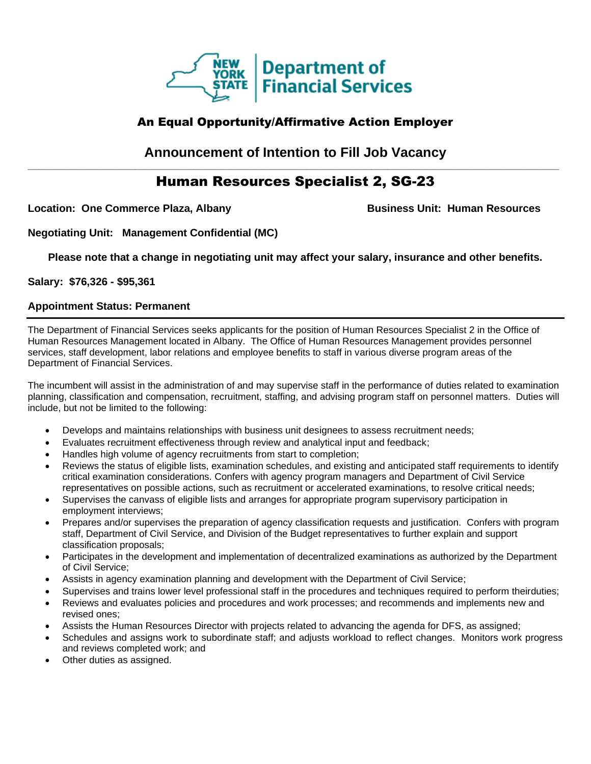

## An Equal Opportunity/Affirmative Action Employer

**Announcement of Intention to Fill Job Vacancy \_\_\_\_\_\_\_\_\_\_\_\_\_\_\_\_\_\_\_\_\_\_\_\_\_\_\_\_\_\_\_\_\_\_\_\_\_\_\_\_\_\_\_\_\_\_\_\_\_\_\_\_\_\_\_\_\_\_\_\_\_\_\_\_\_\_\_\_\_\_\_\_\_\_\_\_\_\_\_\_\_\_\_\_\_\_\_\_\_\_\_\_\_\_\_\_\_\_\_**

# Human Resources Specialist 2, SG-23

Location: One Commerce Plaza, Albany **Business Unit: Human Resources** 

**Negotiating Unit: Management Confidential (MC)**

**Please note that a change in negotiating unit may affect your salary, insurance and other benefits.**

**Salary: \$76,326 - \$95,361**

### **Appointment Status: Permanent**

The Department of Financial Services seeks applicants for the position of Human Resources Specialist 2 in the Office of Human Resources Management located in Albany. The Office of Human Resources Management provides personnel services, staff development, labor relations and employee benefits to staff in various diverse program areas of the Department of Financial Services.

The incumbent will assist in the administration of and may supervise staff in the performance of duties related to examination planning, classification and compensation, recruitment, staffing, and advising program staff on personnel matters. Duties will include, but not be limited to the following:

- Develops and maintains relationships with business unit designees to assess recruitment needs;
- Evaluates recruitment effectiveness through review and analytical input and feedback;
- Handles high volume of agency recruitments from start to completion;
- Reviews the status of eligible lists, examination schedules, and existing and anticipated staff requirements to identify critical examination considerations. Confers with agency program managers and Department of Civil Service representatives on possible actions, such as recruitment or accelerated examinations, to resolve critical needs;
- Supervises the canvass of eligible lists and arranges for appropriate program supervisory participation in employment interviews;
- Prepares and/or supervises the preparation of agency classification requests and justification. Confers with program staff, Department of Civil Service, and Division of the Budget representatives to further explain and support classification proposals;
- Participates in the development and implementation of decentralized examinations as authorized by the Department of Civil Service;
- Assists in agency examination planning and development with the Department of Civil Service;
- Supervises and trains lower level professional staff in the procedures and techniques required to perform theirduties;
- Reviews and evaluates policies and procedures and work processes; and recommends and implements new and revised ones;
- Assists the Human Resources Director with projects related to advancing the agenda for DFS, as assigned;
- Schedules and assigns work to subordinate staff; and adjusts workload to reflect changes. Monitors work progress and reviews completed work; and
- Other duties as assigned.